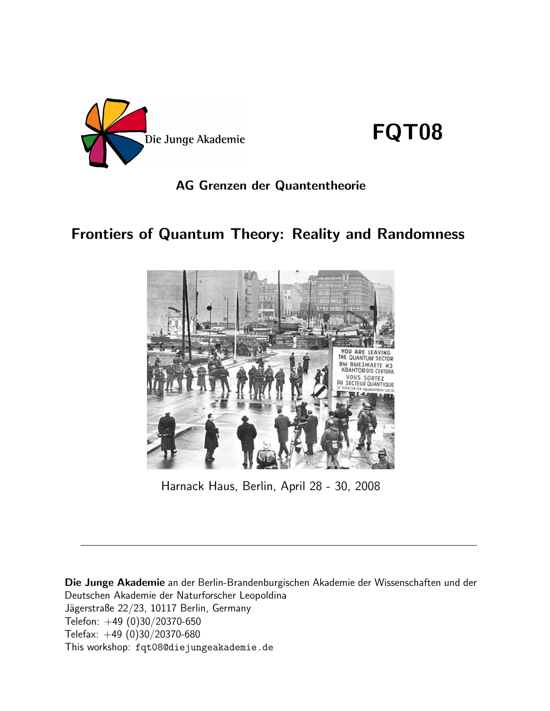

FQT08

## AG Grenzen der Quantentheorie

## Frontiers of Quantum Theory: Reality and Randomness



Harnack Haus, Berlin, April 28 - 30, 2008

Die Junge Akademie an der Berlin-Brandenburgischen Akademie der Wissenschaften und der Deutschen Akademie der Naturforscher Leopoldina Jägerstraße 22/23, 10117 Berlin, Germany Telefon: +49 (0)30/20370-650 Telefax: +49 (0)30/20370-680 This workshop: fqt08@diejungeakademie.de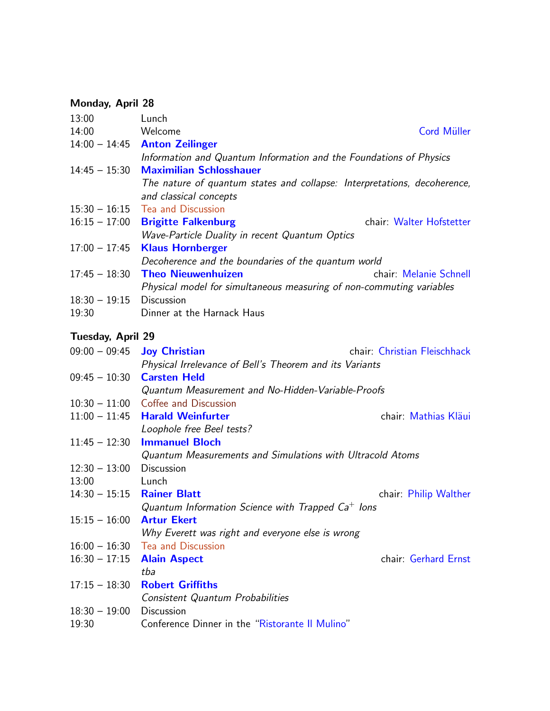## Monday, April 28

| 13:00           | Lunch                                                                    |
|-----------------|--------------------------------------------------------------------------|
| 14:00           | Cord Müller<br>Welcome                                                   |
|                 | $14:00 - 14:45$ Anton Zeilinger                                          |
|                 | Information and Quantum Information and the Foundations of Physics       |
| $14:45 - 15:30$ | <b>Maximilian Schlosshauer</b>                                           |
|                 | The nature of quantum states and collapse: Interpretations, decoherence, |
|                 | and classical concepts                                                   |
|                 | $15:30 - 16:15$ Tea and Discussion                                       |
| $16:15 - 17:00$ | chair: Walter Hofstetter<br><b>Brigitte Falkenburg</b>                   |
|                 | Wave-Particle Duality in recent Quantum Optics                           |
|                 | $17:00 - 17:45$ Klaus Hornberger                                         |
|                 | Decoherence and the boundaries of the quantum world                      |
| $17:45 - 18:30$ | chair: Melanie Schnell<br><b>Theo Nieuwenhuizen</b>                      |
|                 | Physical model for simultaneous measuring of non-commuting variables     |
| $18:30 - 19:15$ | <b>Discussion</b>                                                        |
| 19:30           | Dinner at the Harnack Haus                                               |

## Tuesday, April 29

|                              | $09:00 - 09:45$ Joy Christian                             | chair Christian Fleischhack |
|------------------------------|-----------------------------------------------------------|-----------------------------|
|                              | Physical Irrelevance of Bell's Theorem and its Variants   |                             |
| $09:45 - 10:30$              | <b>Carsten Held</b>                                       |                             |
|                              | Quantum Measurement and No-Hidden-Variable-Proofs         |                             |
|                              | $10:30 - 11:00$ Coffee and Discussion                     |                             |
|                              | $11:00 - 11:45$ Harald Weinfurter                         | chair: Mathias Kläui        |
|                              | Loophole free Beel tests?                                 |                             |
| $11:45 - 12:30$              | <b>Immanuel Bloch</b>                                     |                             |
|                              | Quantum Measurements and Simulations with Ultracold Atoms |                             |
| $12:30 - 13:00$              | <b>Discussion</b>                                         |                             |
| 13:00                        | Lunch                                                     |                             |
| $14:30 - 15:15$ Rainer Blatt |                                                           | chair: Philip Walther       |
|                              | Quantum Information Science with Trapped $Ca^+$ lons      |                             |
| $15:15 - 16:00$              | <b>Artur Ekert</b>                                        |                             |
|                              | Why Everett was right and everyone else is wrong          |                             |
|                              | $16:00 - 16:30$ Tea and Discussion                        |                             |
| $16:30 - 17:15$ Alain Aspect |                                                           | chair: Gerhard Ernst        |
|                              | tba                                                       |                             |
| $17:15 - 18:30$              | <b>Robert Griffiths</b>                                   |                             |
|                              | Consistent Quantum Probabilities                          |                             |
| $18:30 - 19:00$              | <b>Discussion</b>                                         |                             |
| 19:30                        | Conference Dinner in the "Ristorante II Mulino"           |                             |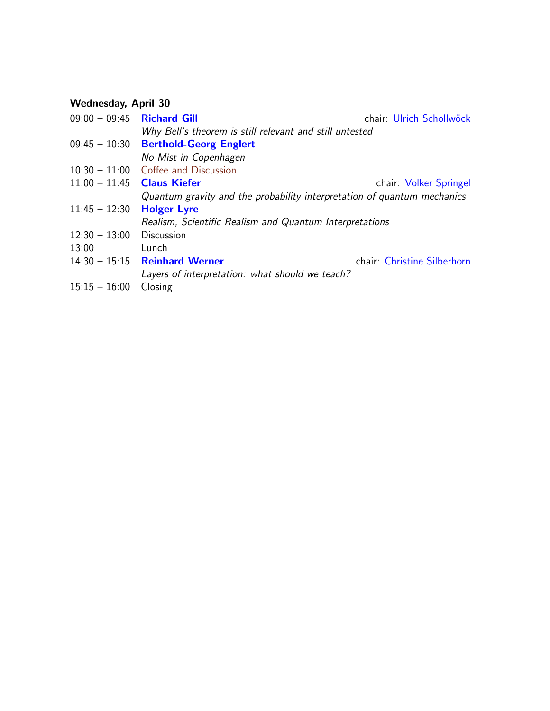## Wednesday, April 30

| $09:00 - 09:45$ Richard Gill |                                                                         | chair: Ulrich Schollwöck    |
|------------------------------|-------------------------------------------------------------------------|-----------------------------|
|                              | Why Bell's theorem is still relevant and still untested                 |                             |
|                              | $09:45 - 10:30$ Berthold-Georg Englert                                  |                             |
|                              | No Mist in Copenhagen                                                   |                             |
|                              | $10:30 - 11:00$ Coffee and Discussion                                   |                             |
| $11:00 - 11:45$ Claus Kiefer |                                                                         | chair: Volker Springel      |
|                              | Quantum gravity and the probability interpretation of quantum mechanics |                             |
| $11:45 - 12:30$              | <b>Holger Lyre</b>                                                      |                             |
|                              | Realism, Scientific Realism and Quantum Interpretations                 |                             |
| $12:30 - 13:00$              | <b>Discussion</b>                                                       |                             |
| 13:00                        | Lunch                                                                   |                             |
|                              | $14:30 - 15:15$ Reinhard Werner                                         | chair: Christine Silberhorn |
|                              | Layers of interpretation: what should we teach?                         |                             |
| $15:15 - 16:00$              | Closing                                                                 |                             |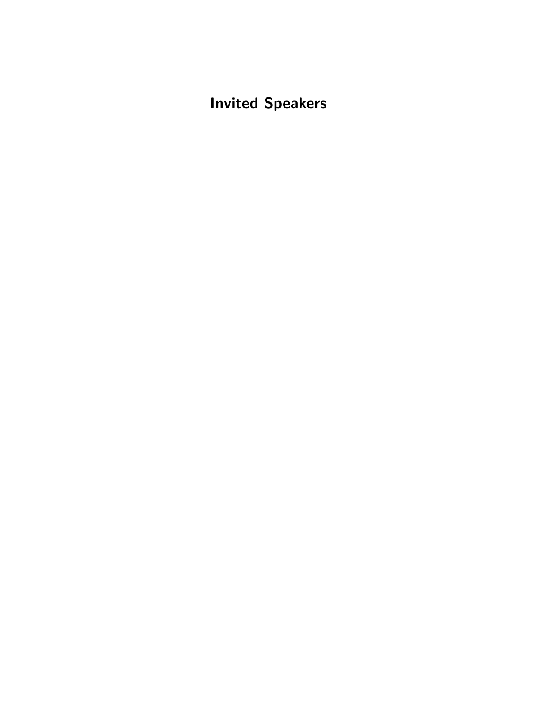Invited Speakers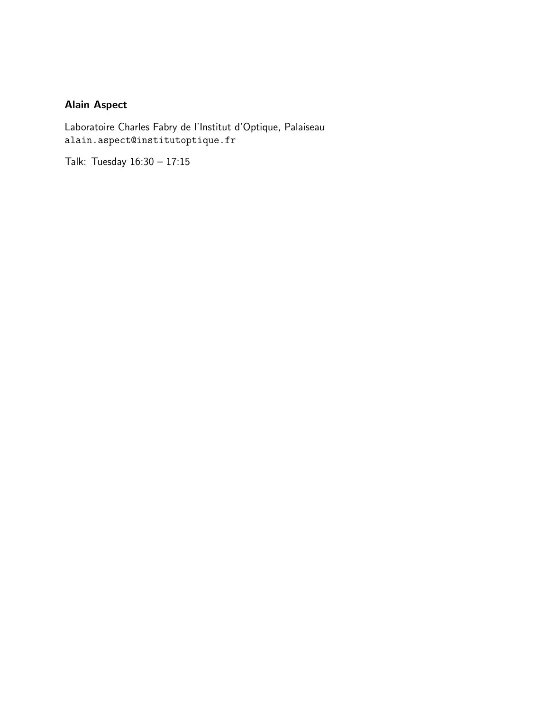## <span id="page-4-0"></span>Alain Aspect

Laboratoire Charles Fabry de l'Institut d'Optique, Palaiseau alain.aspect@institutoptique.fr

Talk: Tuesday 16:30 – 17:15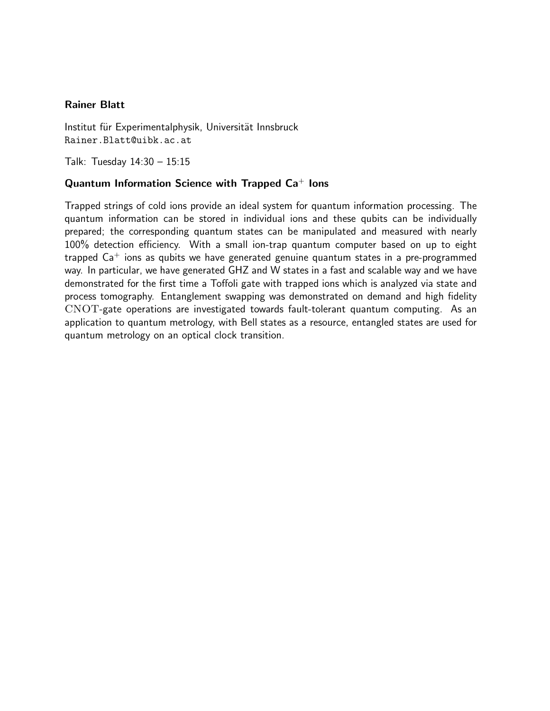#### <span id="page-5-0"></span>Rainer Blatt

Institut für Experimentalphysik, Universität Innsbruck Rainer.Blatt@uibk.ac.at

Talk: Tuesday 14:30 – 15:15

#### Quantum Information Science with Trapped  $Ca^+$  lons

Trapped strings of cold ions provide an ideal system for quantum information processing. The quantum information can be stored in individual ions and these qubits can be individually prepared; the corresponding quantum states can be manipulated and measured with nearly 100% detection efficiency. With a small ion-trap quantum computer based on up to eight trapped  $Ca<sup>+</sup>$  ions as qubits we have generated genuine quantum states in a pre-programmed way. In particular, we have generated GHZ and W states in a fast and scalable way and we have demonstrated for the first time a Toffoli gate with trapped ions which is analyzed via state and process tomography. Entanglement swapping was demonstrated on demand and high fidelity CNOT-gate operations are investigated towards fault-tolerant quantum computing. As an application to quantum metrology, with Bell states as a resource, entangled states are used for quantum metrology on an optical clock transition.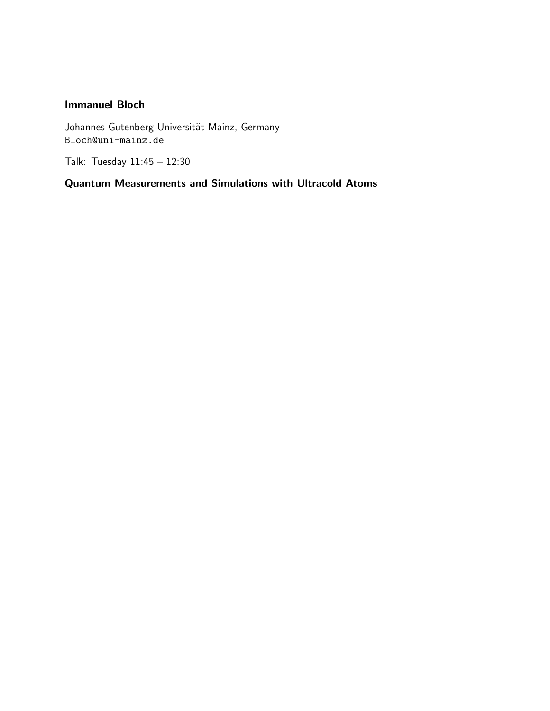#### <span id="page-6-0"></span>Immanuel Bloch

Johannes Gutenberg Universität Mainz, Germany Bloch@uni-mainz.de

Talk: Tuesday 11:45 – 12:30

Quantum Measurements and Simulations with Ultracold Atoms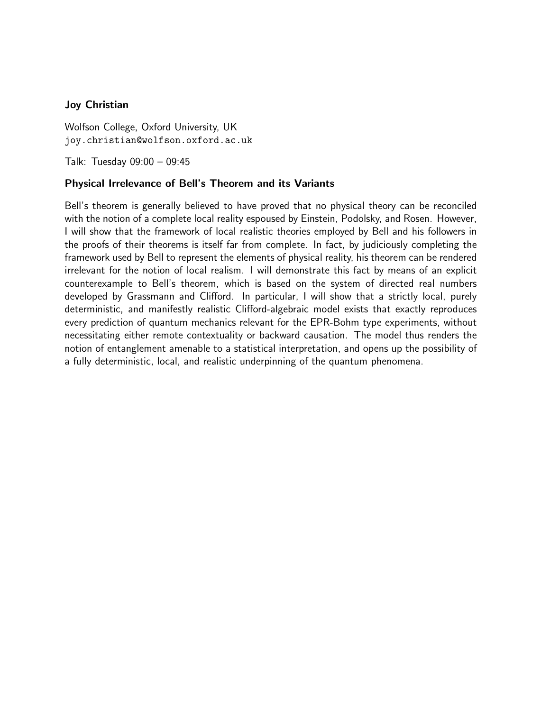#### <span id="page-7-0"></span>Joy Christian

Wolfson College, Oxford University, UK joy.christian@wolfson.oxford.ac.uk

Talk: Tuesday 09:00 – 09:45

#### Physical Irrelevance of Bell's Theorem and its Variants

Bell's theorem is generally believed to have proved that no physical theory can be reconciled with the notion of a complete local reality espoused by Einstein, Podolsky, and Rosen. However, I will show that the framework of local realistic theories employed by Bell and his followers in the proofs of their theorems is itself far from complete. In fact, by judiciously completing the framework used by Bell to represent the elements of physical reality, his theorem can be rendered irrelevant for the notion of local realism. I will demonstrate this fact by means of an explicit counterexample to Bell's theorem, which is based on the system of directed real numbers developed by Grassmann and Clifford. In particular, I will show that a strictly local, purely deterministic, and manifestly realistic Clifford-algebraic model exists that exactly reproduces every prediction of quantum mechanics relevant for the EPR-Bohm type experiments, without necessitating either remote contextuality or backward causation. The model thus renders the notion of entanglement amenable to a statistical interpretation, and opens up the possibility of a fully deterministic, local, and realistic underpinning of the quantum phenomena.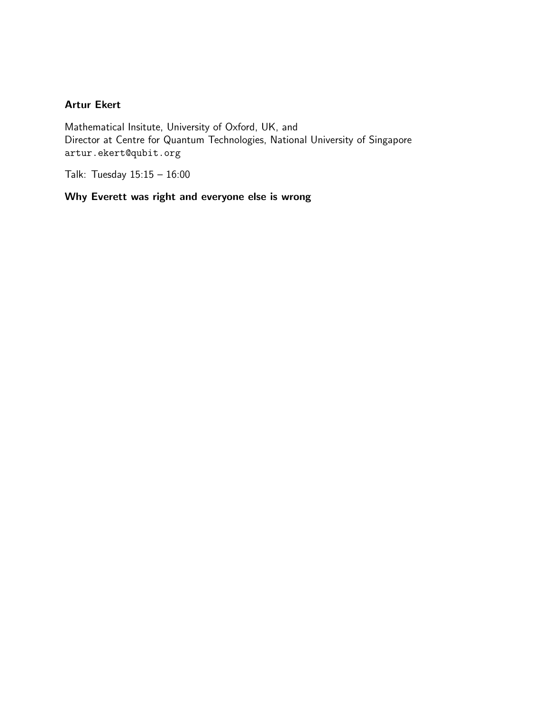#### <span id="page-8-0"></span>Artur Ekert

Mathematical Insitute, University of Oxford, UK, and Director at Centre for Quantum Technologies, National University of Singapore artur.ekert@qubit.org

Talk: Tuesday 15:15 – 16:00

### Why Everett was right and everyone else is wrong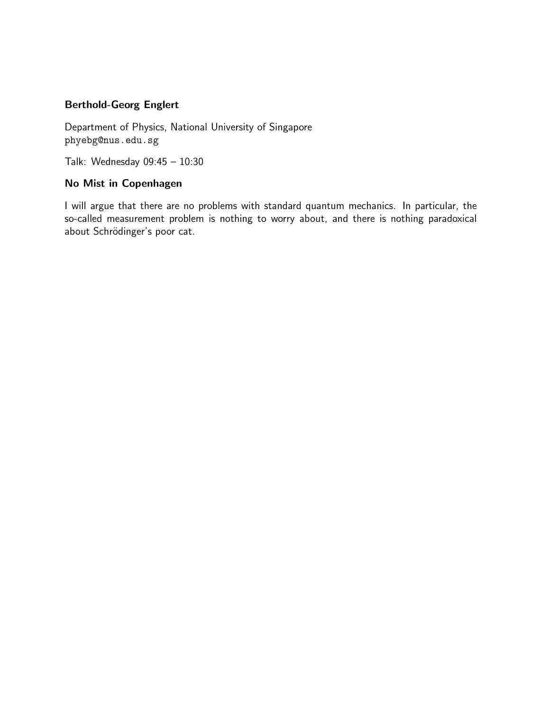## <span id="page-9-0"></span>Berthold-Georg Englert

Department of Physics, National University of Singapore phyebg@nus.edu.sg

Talk: Wednesday 09:45 – 10:30

#### No Mist in Copenhagen

I will argue that there are no problems with standard quantum mechanics. In particular, the so-called measurement problem is nothing to worry about, and there is nothing paradoxical about Schrödinger's poor cat.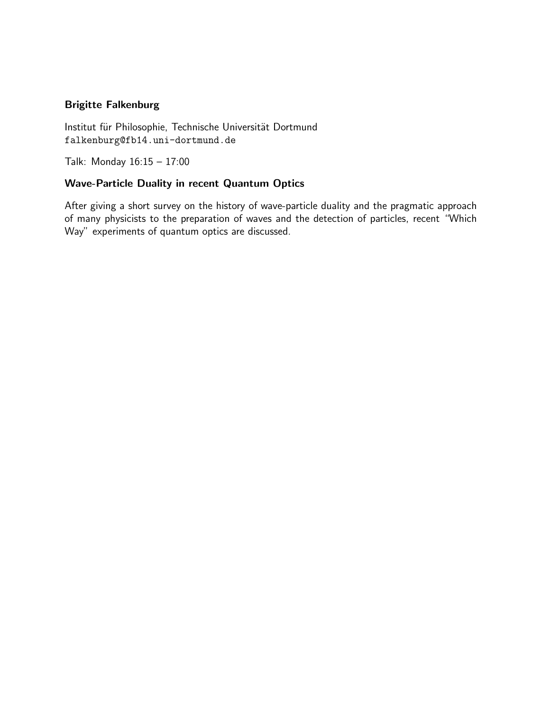#### <span id="page-10-0"></span>Brigitte Falkenburg

Institut für Philosophie, Technische Universität Dortmund falkenburg@fb14.uni-dortmund.de

Talk: Monday 16:15 – 17:00

#### Wave-Particle Duality in recent Quantum Optics

After giving a short survey on the history of wave-particle duality and the pragmatic approach of many physicists to the preparation of waves and the detection of particles, recent "Which Way" experiments of quantum optics are discussed.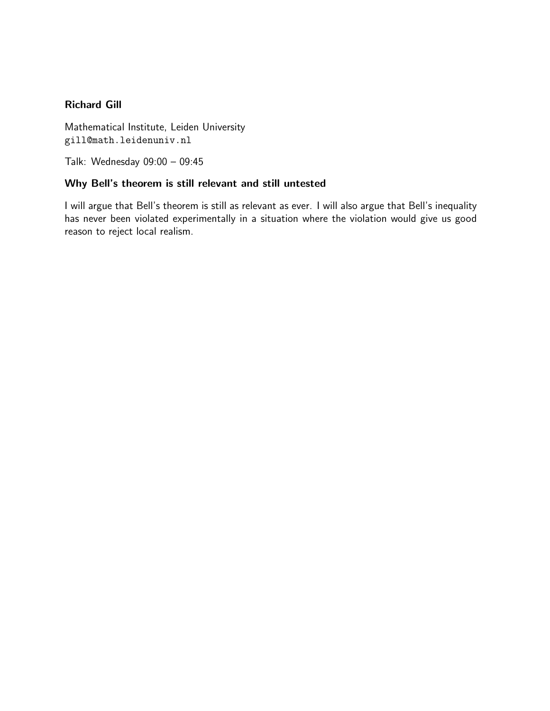#### <span id="page-11-0"></span>Richard Gill

Mathematical Institute, Leiden University gill@math.leidenuniv.nl

Talk: Wednesday 09:00 – 09:45

#### Why Bell's theorem is still relevant and still untested

I will argue that Bell's theorem is still as relevant as ever. I will also argue that Bell's inequality has never been violated experimentally in a situation where the violation would give us good reason to reject local realism.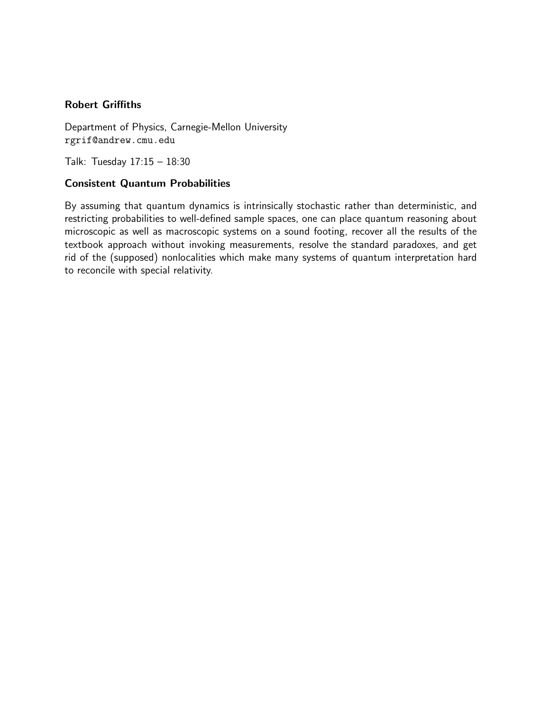#### <span id="page-12-0"></span>Robert Griffiths

Department of Physics, Carnegie-Mellon University rgrif@andrew.cmu.edu

Talk: Tuesday 17:15 – 18:30

#### Consistent Quantum Probabilities

By assuming that quantum dynamics is intrinsically stochastic rather than deterministic, and restricting probabilities to well-defined sample spaces, one can place quantum reasoning about microscopic as well as macroscopic systems on a sound footing, recover all the results of the textbook approach without invoking measurements, resolve the standard paradoxes, and get rid of the (supposed) nonlocalities which make many systems of quantum interpretation hard to reconcile with special relativity.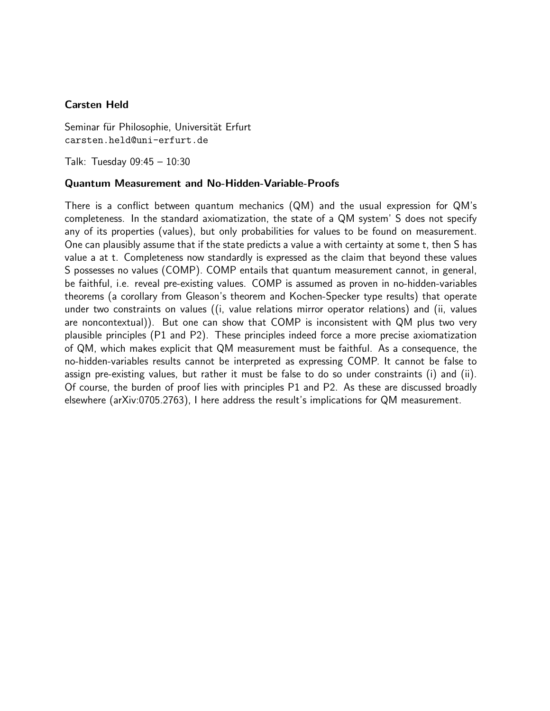#### <span id="page-13-0"></span>Carsten Held

Seminar für Philosophie, Universität Erfurt carsten.held@uni-erfurt.de

Talk: Tuesday 09:45 – 10:30

#### Quantum Measurement and No-Hidden-Variable-Proofs

There is a conflict between quantum mechanics (QM) and the usual expression for QM's completeness. In the standard axiomatization, the state of a QM system' S does not specify any of its properties (values), but only probabilities for values to be found on measurement. One can plausibly assume that if the state predicts a value a with certainty at some t, then S has value a at t. Completeness now standardly is expressed as the claim that beyond these values S possesses no values (COMP). COMP entails that quantum measurement cannot, in general, be faithful, i.e. reveal pre-existing values. COMP is assumed as proven in no-hidden-variables theorems (a corollary from Gleason's theorem and Kochen-Specker type results) that operate under two constraints on values ((i, value relations mirror operator relations) and (ii, values are noncontextual)). But one can show that COMP is inconsistent with QM plus two very plausible principles (P1 and P2). These principles indeed force a more precise axiomatization of QM, which makes explicit that QM measurement must be faithful. As a consequence, the no-hidden-variables results cannot be interpreted as expressing COMP. It cannot be false to assign pre-existing values, but rather it must be false to do so under constraints (i) and (ii). Of course, the burden of proof lies with principles P1 and P2. As these are discussed broadly elsewhere (arXiv:0705.2763), I here address the result's implications for QM measurement.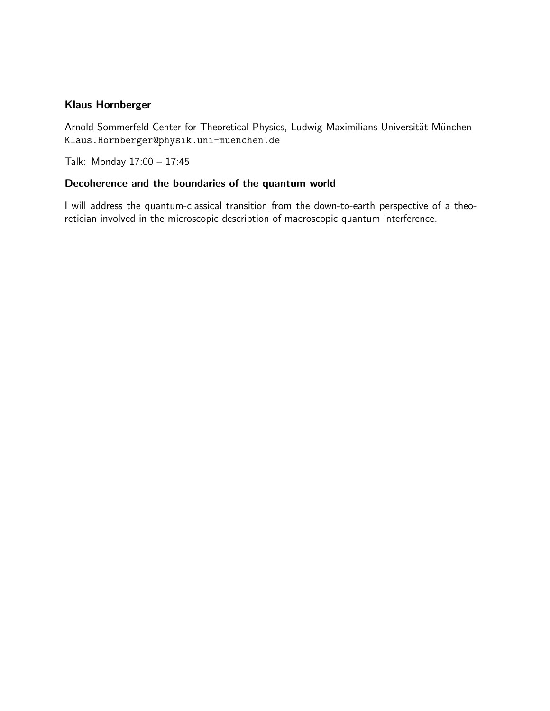#### <span id="page-14-0"></span>Klaus Hornberger

Arnold Sommerfeld Center for Theoretical Physics, Ludwig-Maximilians-Universität München Klaus.Hornberger@physik.uni-muenchen.de

Talk: Monday 17:00 – 17:45

#### Decoherence and the boundaries of the quantum world

I will address the quantum-classical transition from the down-to-earth perspective of a theoretician involved in the microscopic description of macroscopic quantum interference.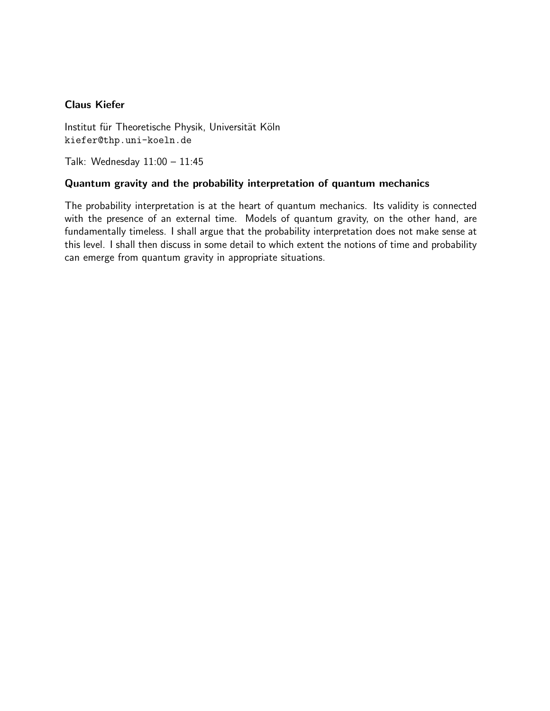#### <span id="page-15-0"></span>Claus Kiefer

Institut für Theoretische Physik, Universität Köln kiefer@thp.uni-koeln.de

Talk: Wednesday 11:00 – 11:45

#### Quantum gravity and the probability interpretation of quantum mechanics

The probability interpretation is at the heart of quantum mechanics. Its validity is connected with the presence of an external time. Models of quantum gravity, on the other hand, are fundamentally timeless. I shall argue that the probability interpretation does not make sense at this level. I shall then discuss in some detail to which extent the notions of time and probability can emerge from quantum gravity in appropriate situations.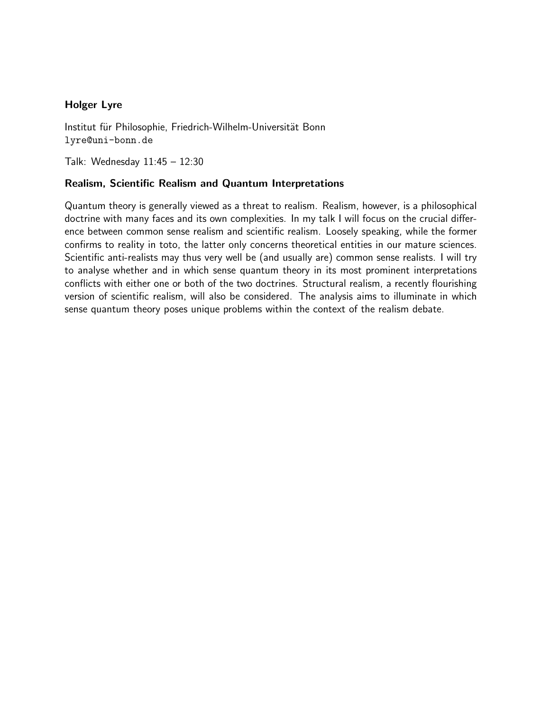#### <span id="page-16-0"></span>Holger Lyre

Institut für Philosophie, Friedrich-Wilhelm-Universität Bonn lyre@uni-bonn.de

Talk: Wednesday 11:45 – 12:30

#### Realism, Scientific Realism and Quantum Interpretations

Quantum theory is generally viewed as a threat to realism. Realism, however, is a philosophical doctrine with many faces and its own complexities. In my talk I will focus on the crucial difference between common sense realism and scientific realism. Loosely speaking, while the former confirms to reality in toto, the latter only concerns theoretical entities in our mature sciences. Scientific anti-realists may thus very well be (and usually are) common sense realists. I will try to analyse whether and in which sense quantum theory in its most prominent interpretations conflicts with either one or both of the two doctrines. Structural realism, a recently flourishing version of scientific realism, will also be considered. The analysis aims to illuminate in which sense quantum theory poses unique problems within the context of the realism debate.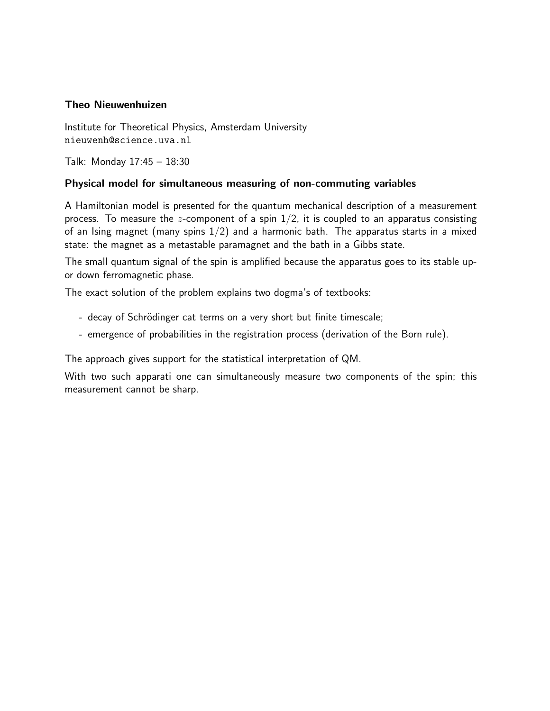#### <span id="page-17-0"></span>Theo Nieuwenhuizen

Institute for Theoretical Physics, Amsterdam University nieuwenh@science.uva.nl

Talk: Monday 17:45 – 18:30

#### Physical model for simultaneous measuring of non-commuting variables

A Hamiltonian model is presented for the quantum mechanical description of a measurement process. To measure the z-component of a spin  $1/2$ , it is coupled to an apparatus consisting of an Ising magnet (many spins  $1/2$ ) and a harmonic bath. The apparatus starts in a mixed state: the magnet as a metastable paramagnet and the bath in a Gibbs state.

The small quantum signal of the spin is amplified because the apparatus goes to its stable upor down ferromagnetic phase.

The exact solution of the problem explains two dogma's of textbooks:

- decay of Schrödinger cat terms on a very short but finite timescale;
- emergence of probabilities in the registration process (derivation of the Born rule).

The approach gives support for the statistical interpretation of QM.

With two such apparati one can simultaneously measure two components of the spin; this measurement cannot be sharp.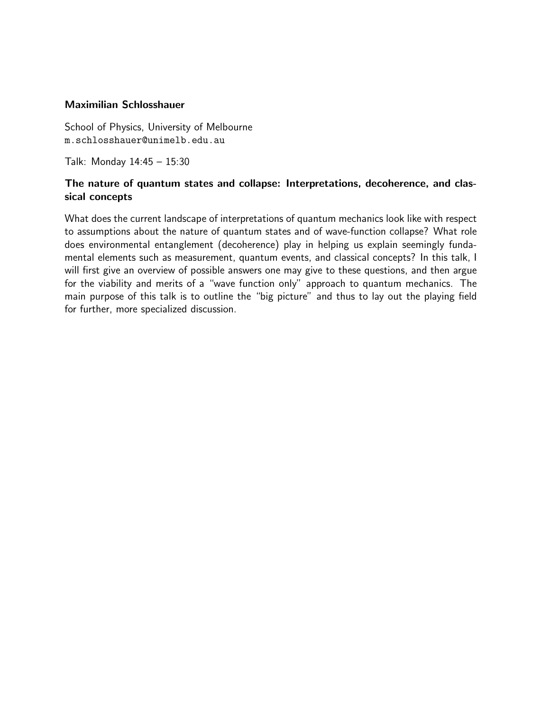#### <span id="page-18-0"></span>Maximilian Schlosshauer

School of Physics, University of Melbourne m.schlosshauer@unimelb.edu.au

Talk: Monday 14:45 – 15:30

#### The nature of quantum states and collapse: Interpretations, decoherence, and classical concepts

What does the current landscape of interpretations of quantum mechanics look like with respect to assumptions about the nature of quantum states and of wave-function collapse? What role does environmental entanglement (decoherence) play in helping us explain seemingly fundamental elements such as measurement, quantum events, and classical concepts? In this talk, I will first give an overview of possible answers one may give to these questions, and then argue for the viability and merits of a "wave function only" approach to quantum mechanics. The main purpose of this talk is to outline the "big picture" and thus to lay out the playing field for further, more specialized discussion.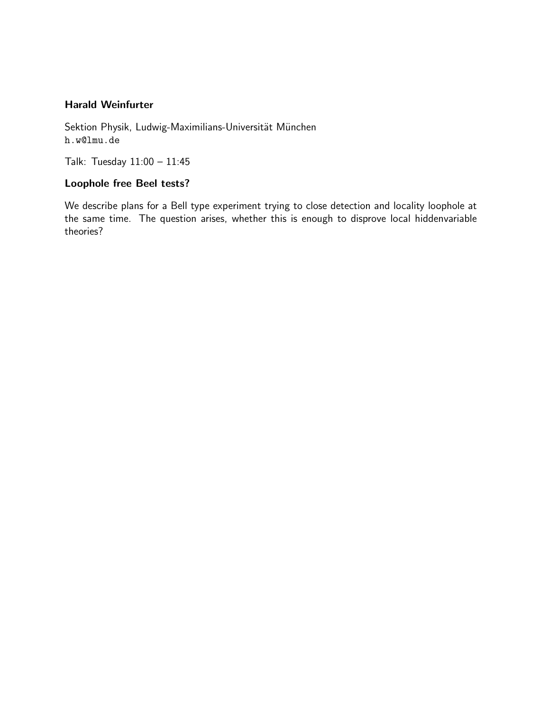#### <span id="page-19-0"></span>Harald Weinfurter

Sektion Physik, Ludwig-Maximilians-Universität München h.w@lmu.de

Talk: Tuesday 11:00 – 11:45

#### Loophole free Beel tests?

We describe plans for a Bell type experiment trying to close detection and locality loophole at the same time. The question arises, whether this is enough to disprove local hiddenvariable theories?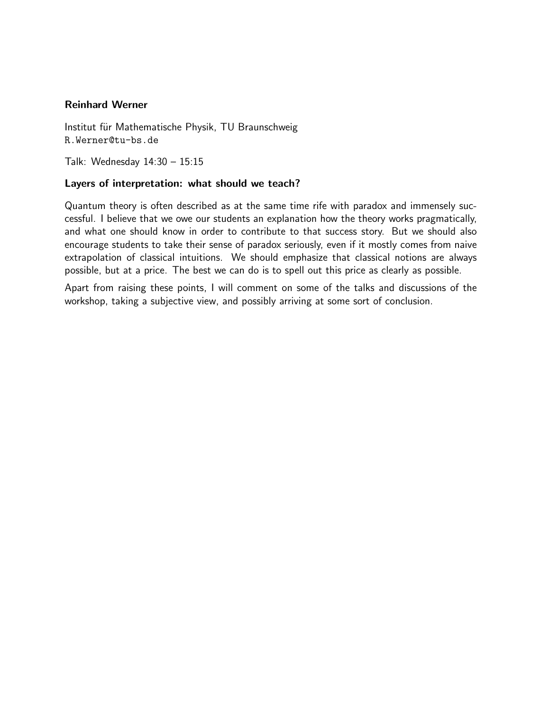#### <span id="page-20-0"></span>Reinhard Werner

Institut für Mathematische Physik, TU Braunschweig R.Werner@tu-bs.de

Talk: Wednesday 14:30 – 15:15

#### Layers of interpretation: what should we teach?

Quantum theory is often described as at the same time rife with paradox and immensely successful. I believe that we owe our students an explanation how the theory works pragmatically, and what one should know in order to contribute to that success story. But we should also encourage students to take their sense of paradox seriously, even if it mostly comes from naive extrapolation of classical intuitions. We should emphasize that classical notions are always possible, but at a price. The best we can do is to spell out this price as clearly as possible.

Apart from raising these points, I will comment on some of the talks and discussions of the workshop, taking a subjective view, and possibly arriving at some sort of conclusion.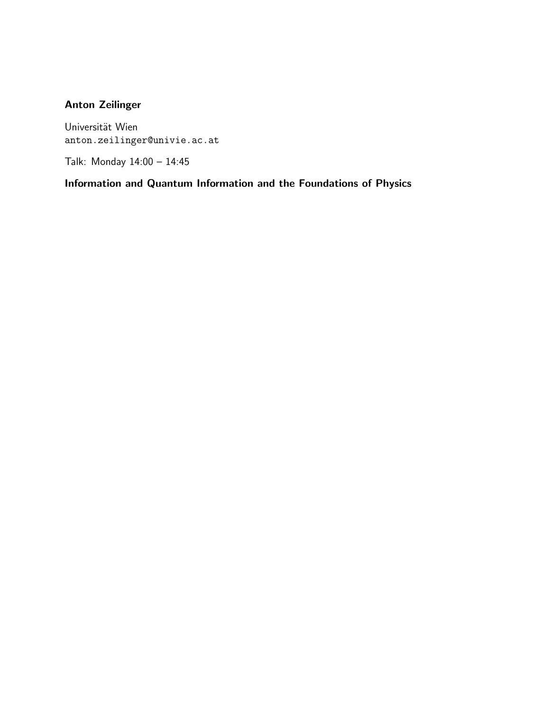## <span id="page-21-0"></span>Anton Zeilinger

Universität Wien anton.zeilinger@univie.ac.at

Talk: Monday 14:00 – 14:45

Information and Quantum Information and the Foundations of Physics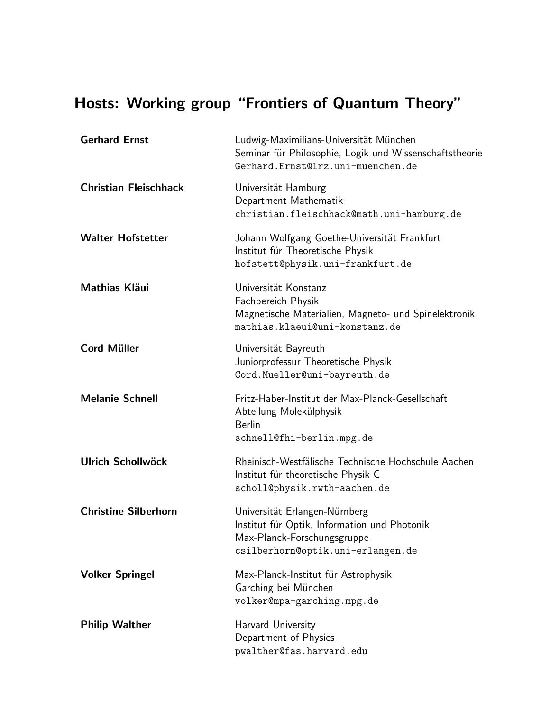# Hosts: Working group "Frontiers of Quantum Theory"

<span id="page-22-9"></span><span id="page-22-8"></span><span id="page-22-7"></span><span id="page-22-6"></span><span id="page-22-5"></span><span id="page-22-4"></span><span id="page-22-3"></span><span id="page-22-2"></span><span id="page-22-1"></span><span id="page-22-0"></span>

| <b>Gerhard Ernst</b>         | Ludwig-Maximilians-Universität München<br>Seminar für Philosophie, Logik und Wissenschaftstheorie<br>Gerhard.Ernst@lrz.uni-muenchen.de            |
|------------------------------|---------------------------------------------------------------------------------------------------------------------------------------------------|
| <b>Christian Fleischhack</b> | Universität Hamburg<br>Department Mathematik<br>christian.fleischhack@math.uni-hamburg.de                                                         |
| <b>Walter Hofstetter</b>     | Johann Wolfgang Goethe-Universität Frankfurt<br>Institut für Theoretische Physik<br>hofstett@physik.uni-frankfurt.de                              |
| <b>Mathias Kläui</b>         | Universität Konstanz<br>Fachbereich Physik<br>Magnetische Materialien, Magneto- und Spinelektronik<br>mathias.klaeui@uni-konstanz.de              |
| <b>Cord Müller</b>           | Universität Bayreuth<br>Juniorprofessur Theoretische Physik<br>Cord.Mueller@uni-bayreuth.de                                                       |
| <b>Melanie Schnell</b>       | Fritz-Haber-Institut der Max-Planck-Gesellschaft<br>Abteilung Molekülphysik<br><b>Berlin</b><br>schnell@fhi-berlin.mpg.de                         |
| <b>Ulrich Schollwöck</b>     | Rheinisch-Westfälische Technische Hochschule Aachen<br>Institut für theoretische Physik C<br>scholl@physik.rwth-aachen.de                         |
| <b>Christine Silberhorn</b>  | Universität Erlangen-Nürnberg<br>Institut für Optik, Information und Photonik<br>Max-Planck-Forschungsgruppe<br>csilberhorn@optik.uni-erlangen.de |
| <b>Volker Springel</b>       | Max-Planck-Institut für Astrophysik<br>Garching bei München<br>volker@mpa-garching.mpg.de                                                         |
| <b>Philip Walther</b>        | Harvard University<br>Department of Physics<br>pwalther@fas.harvard.edu                                                                           |
|                              |                                                                                                                                                   |